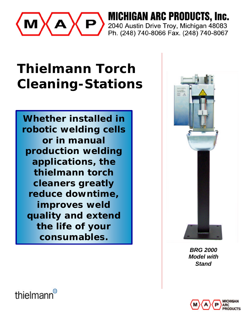

**MICHIGAN ARC PRODUCTS, Inc.** 2040 Austin Drive Troy, Michigan 48083 Ph. (248) 740-8066 Fax. (248) 740-8067

# **Thielmann Torch Cleaning-Stations**

**Whether installed in robotic welding cells or in manual production welding applications, the thielmann torch cleaners greatly reduce downtime, improves weld quality and extend the life of your consumables.**



*BRG 2000 Model with Stand*



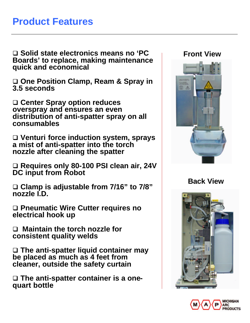#### **Product Features**

□ Solid state electronics means no 'PC **Boards' to replace, making maintenance quick and economical**

□ One Position Clamp, Ream & Spray in **3.5 seconds**

q **Center Spray option reduces overspray and ensures an even distribution of anti-spatter spray on all consumables**

q **Venturi force induction system, sprays a mist of anti-spatter into the torch nozzle after cleaning the spatter**

□ Requires only 80-100 PSI clean air, 24V **DC input from Robot**

□ Clamp is adjustable from 7/16" to 7/8" **nozzle I.D.**

□ Pneumatic Wire Cutter requires no **electrical hook up**

□ Maintain the torch nozzle for **consistent quality welds**

□ The anti-spatter liquid container may **be placed as much as 4 feet from cleaner, outside the safety curtain**

q **The anti-spatter container is a onequart bottle**

#### **Front View**



**Back View**



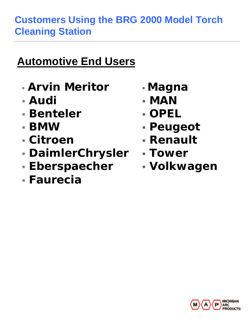### **Customers Using the BRG 2000 Model Torch Cleaning Station**

# **Automotive End Users**

- <sup>ß</sup> *Arvin Meritor*
- ß *Audi*
- ß *Benteler*
- ß *BMW*
- ß *Citroen*
- ß *DaimlerChrysler*
- ß *Eberspaecher*
- ß *Faurecia*
- <sup>ß</sup> *Magna*
- ß *MAN*
- ß *OPEL*
- ß *Peugeot*
- ß *Renault*
- ß *Tower*
- ß *Volkwagen*